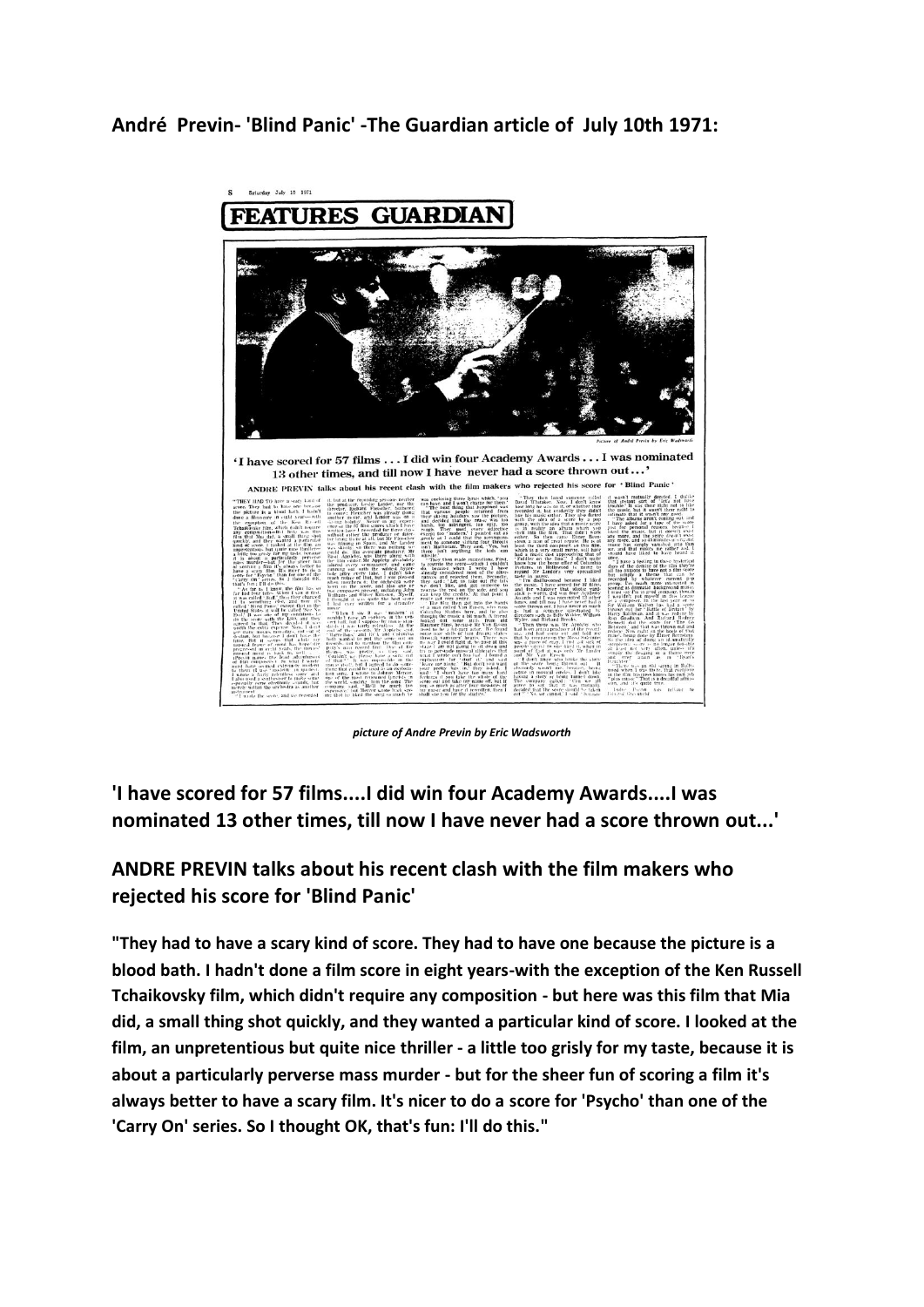## **André Previn- 'Blind Panic' -The Guardian article of July 10th 1971:**



*picture of Andre Previn by Eric Wadsworth*

## **'I have scored for 57 films....I did win four Academy Awards....I was nominated 13 other times, till now I have never had a score thrown out...'**

## **ANDRE PREVIN talks about his recent clash with the film makers who rejected his score for 'Blind Panic'**

**"They had to have a scary kind of score. They had to have one because the picture is a blood bath. I hadn't done a film score in eight years-with the exception of the Ken Russell Tchaikovsky film, which didn't require any composition - but here was this film that Mia did, a small thing shot quickly, and they wanted a particular kind of score. I looked at the film, an unpretentious but quite nice thriller - a little too grisly for my taste, because it is about a particularly perverse mass murder - but for the sheer fun of scoring a film it's always better to have a scary film. It's nicer to do a score for 'Psycho' than one of the 'Carry On' series. So I thought OK, that's fun: I'll do this."**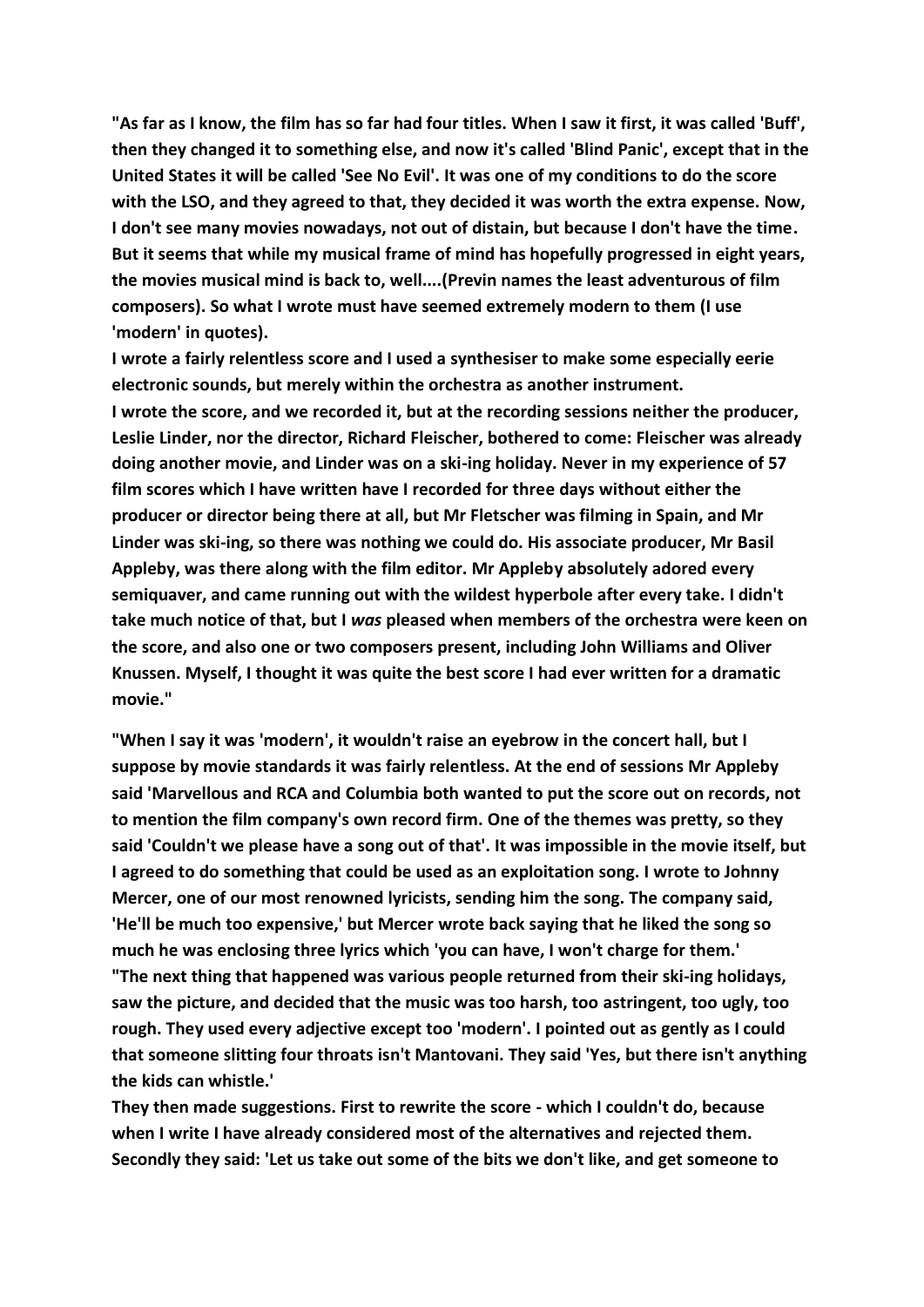**"As far as I know, the film has so far had four titles. When I saw it first, it was called 'Buff', then they changed it to something else, and now it's called 'Blind Panic', except that in the United States it will be called 'See No Evil'. It was one of my conditions to do the score with the LSO, and they agreed to that, they decided it was worth the extra expense. Now, I don't see many movies nowadays, not out of distain, but because I don't have the time. But it seems that while my musical frame of mind has hopefully progressed in eight years, the movies musical mind is back to, well....(Previn names the least adventurous of film composers). So what I wrote must have seemed extremely modern to them (I use 'modern' in quotes).**

**I wrote a fairly relentless score and I used a synthesiser to make some especially eerie electronic sounds, but merely within the orchestra as another instrument. I wrote the score, and we recorded it, but at the recording sessions neither the producer, Leslie Linder, nor the director, Richard Fleischer, bothered to come: Fleischer was already doing another movie, and Linder was on a ski-ing holiday. Never in my experience of 57 film scores which I have written have I recorded for three days without either the producer or director being there at all, but Mr Fletscher was filming in Spain, and Mr Linder was ski-ing, so there was nothing we could do. His associate producer, Mr Basil Appleby, was there along with the film editor. Mr Appleby absolutely adored every semiquaver, and came running out with the wildest hyperbole after every take. I didn't take much notice of that, but I** *was* **pleased when members of the orchestra were keen on the score, and also one or two composers present, including John Williams and Oliver Knussen. Myself, I thought it was quite the best score I had ever written for a dramatic movie."**

**"When I say it was 'modern', it wouldn't raise an eyebrow in the concert hall, but I suppose by movie standards it was fairly relentless. At the end of sessions Mr Appleby said 'Marvellous and RCA and Columbia both wanted to put the score out on records, not to mention the film company's own record firm. One of the themes was pretty, so they said 'Couldn't we please have a song out of that'. It was impossible in the movie itself, but I agreed to do something that could be used as an exploitation song. I wrote to Johnny Mercer, one of our most renowned lyricists, sending him the song. The company said, 'He'll be much too expensive,' but Mercer wrote back saying that he liked the song so much he was enclosing three lyrics which 'you can have, I won't charge for them.' "The next thing that happened was various people returned from their ski-ing holidays, saw the picture, and decided that the music was too harsh, too astringent, too ugly, too rough. They used every adjective except too 'modern'. I pointed out as gently as I could that someone slitting four throats isn't Mantovani. They said 'Yes, but there isn't anything the kids can whistle.'** 

**They then made suggestions. First to rewrite the score - which I couldn't do, because when I write I have already considered most of the alternatives and rejected them. Secondly they said: 'Let us take out some of the bits we don't like, and get someone to**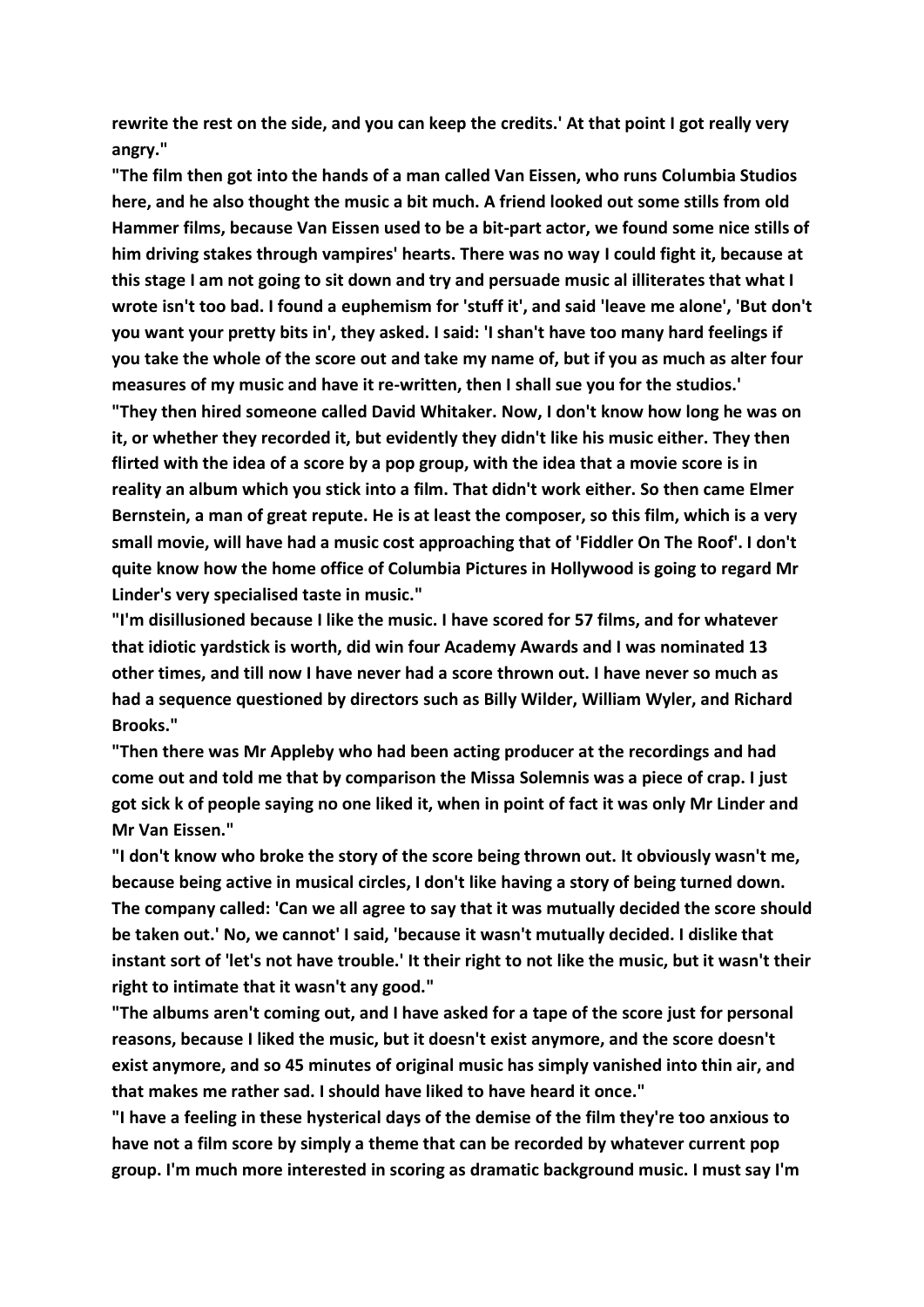**rewrite the rest on the side, and you can keep the credits.' At that point I got really very angry."**

**"The film then got into the hands of a man called Van Eissen, who runs Columbia Studios here, and he also thought the music a bit much. A friend looked out some stills from old Hammer films, because Van Eissen used to be a bit-part actor, we found some nice stills of him driving stakes through vampires' hearts. There was no way I could fight it, because at this stage I am not going to sit down and try and persuade music al illiterates that what I wrote isn't too bad. I found a euphemism for 'stuff it', and said 'leave me alone', 'But don't you want your pretty bits in', they asked. I said: 'I shan't have too many hard feelings if you take the whole of the score out and take my name of, but if you as much as alter four measures of my music and have it re-written, then I shall sue you for the studios.'**

**"They then hired someone called David Whitaker. Now, I don't know how long he was on it, or whether they recorded it, but evidently they didn't like his music either. They then flirted with the idea of a score by a pop group, with the idea that a movie score is in reality an album which you stick into a film. That didn't work either. So then came Elmer Bernstein, a man of great repute. He is at least the composer, so this film, which is a very small movie, will have had a music cost approaching that of 'Fiddler On The Roof'. I don't quite know how the home office of Columbia Pictures in Hollywood is going to regard Mr Linder's very specialised taste in music."**

**"I'm disillusioned because I like the music. I have scored for 57 films, and for whatever that idiotic yardstick is worth, did win four Academy Awards and I was nominated 13 other times, and till now I have never had a score thrown out. I have never so much as had a sequence questioned by directors such as Billy Wilder, William Wyler, and Richard Brooks."**

**"Then there was Mr Appleby who had been acting producer at the recordings and had come out and told me that by comparison the Missa Solemnis was a piece of crap. I just got sick k of people saying no one liked it, when in point of fact it was only Mr Linder and Mr Van Eissen."**

**"I don't know who broke the story of the score being thrown out. It obviously wasn't me, because being active in musical circles, I don't like having a story of being turned down. The company called: 'Can we all agree to say that it was mutually decided the score should be taken out.' No, we cannot' I said, 'because it wasn't mutually decided. I dislike that instant sort of 'let's not have trouble.' It their right to not like the music, but it wasn't their right to intimate that it wasn't any good."**

**"The albums aren't coming out, and I have asked for a tape of the score just for personal reasons, because I liked the music, but it doesn't exist anymore, and the score doesn't exist anymore, and so 45 minutes of original music has simply vanished into thin air, and that makes me rather sad. I should have liked to have heard it once."**

**"I have a feeling in these hysterical days of the demise of the film they're too anxious to have not a film score by simply a theme that can be recorded by whatever current pop group. I'm much more interested in scoring as dramatic background music. I must say I'm**